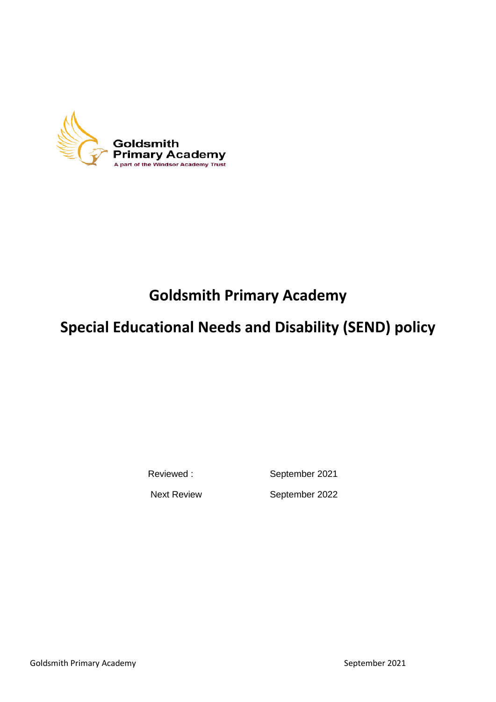

# **Goldsmith Primary Academy**

# **Special Educational Needs and Disability (SEND) policy**

Reviewed : September 2021

Next Review September 2022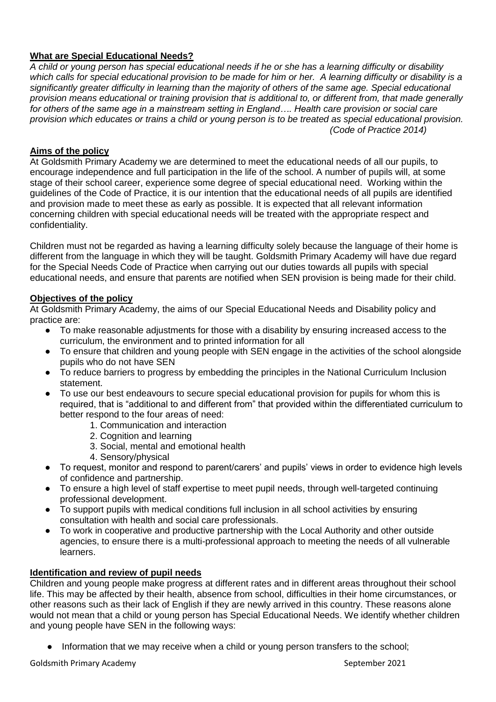# **What are Special Educational Needs?**

*A child or young person has special educational needs if he or she has a learning difficulty or disability which calls for special educational provision to be made for him or her. A learning difficulty or disability is a significantly greater difficulty in learning than the majority of others of the same age. Special educational provision means educational or training provision that is additional to, or different from, that made generally for others of the same age in a mainstream setting in England…. Health care provision or social care provision which educates or trains a child or young person is to be treated as special educational provision. (Code of Practice 2014)*

# **Aims of the policy**

At Goldsmith Primary Academy we are determined to meet the educational needs of all our pupils, to encourage independence and full participation in the life of the school. A number of pupils will, at some stage of their school career, experience some degree of special educational need. Working within the guidelines of the Code of Practice, it is our intention that the educational needs of all pupils are identified and provision made to meet these as early as possible. It is expected that all relevant information concerning children with special educational needs will be treated with the appropriate respect and confidentiality.

Children must not be regarded as having a learning difficulty solely because the language of their home is different from the language in which they will be taught. Goldsmith Primary Academy will have due regard for the Special Needs Code of Practice when carrying out our duties towards all pupils with special educational needs, and ensure that parents are notified when SEN provision is being made for their child.

# **Objectives of the policy**

At Goldsmith Primary Academy, the aims of our Special Educational Needs and Disability policy and practice are:

- To make reasonable adjustments for those with a disability by ensuring increased access to the curriculum, the environment and to printed information for all
- To ensure that children and young people with SEN engage in the activities of the school alongside pupils who do not have SEN
- To reduce barriers to progress by embedding the principles in the National Curriculum Inclusion statement.
- To use our best endeavours to secure special educational provision for pupils for whom this is required, that is "additional to and different from" that provided within the differentiated curriculum to better respond to the four areas of need:
	- 1. Communication and interaction
	- 2. Cognition and learning
	- 3. Social, mental and emotional health
	- 4. Sensory/physical
- To request, monitor and respond to parent/carers' and pupils' views in order to evidence high levels of confidence and partnership.
- To ensure a high level of staff expertise to meet pupil needs, through well-targeted continuing professional development.
- To support pupils with medical conditions full inclusion in all school activities by ensuring consultation with health and social care professionals.
- To work in cooperative and productive partnership with the Local Authority and other outside agencies, to ensure there is a multi-professional approach to meeting the needs of all vulnerable learners.

# **Identification and review of pupil needs**

Children and young people make progress at different rates and in different areas throughout their school life. This may be affected by their health, absence from school, difficulties in their home circumstances, or other reasons such as their lack of English if they are newly arrived in this country. These reasons alone would not mean that a child or young person has Special Educational Needs. We identify whether children and young people have SEN in the following ways:

• Information that we may receive when a child or young person transfers to the school;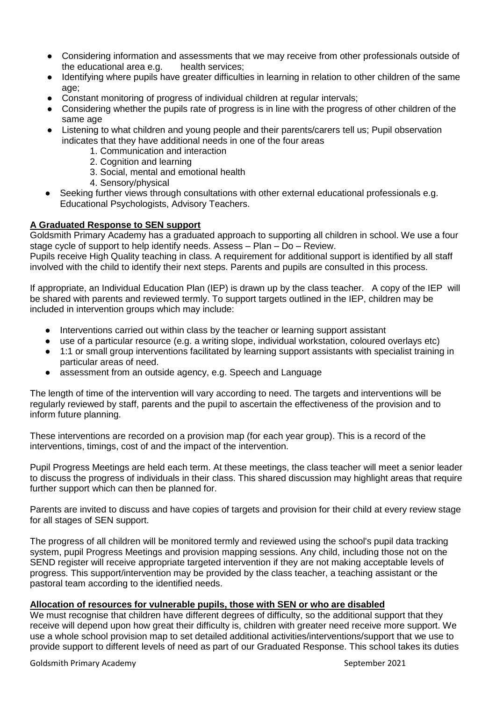- Considering information and assessments that we may receive from other professionals outside of the educational area e.g. health services;
- Identifying where pupils have greater difficulties in learning in relation to other children of the same age;
- Constant monitoring of progress of individual children at regular intervals;
- Considering whether the pupils rate of progress is in line with the progress of other children of the same age
- Listening to what children and young people and their parents/carers tell us; Pupil observation indicates that they have additional needs in one of the four areas
	- 1. Communication and interaction
	- 2. Cognition and learning
	- 3. Social, mental and emotional health
	- 4. Sensory/physical
- Seeking further views through consultations with other external educational professionals e.g. Educational Psychologists, Advisory Teachers.

# **A Graduated Response to SEN support**

Goldsmith Primary Academy has a graduated approach to supporting all children in school. We use a four stage cycle of support to help identify needs. Assess – Plan – Do – Review.

Pupils receive High Quality teaching in class. A requirement for additional support is identified by all staff involved with the child to identify their next steps. Parents and pupils are consulted in this process.

If appropriate, an Individual Education Plan (IEP) is drawn up by the class teacher. A copy of the IEP will be shared with parents and reviewed termly. To support targets outlined in the IEP, children may be included in intervention groups which may include:

- Interventions carried out within class by the teacher or learning support assistant
- use of a particular resource (e.g. a writing slope, individual workstation, coloured overlays etc)
- 1:1 or small group interventions facilitated by learning support assistants with specialist training in particular areas of need.
- assessment from an outside agency, e.g. Speech and Language

The length of time of the intervention will vary according to need. The targets and interventions will be regularly reviewed by staff, parents and the pupil to ascertain the effectiveness of the provision and to inform future planning.

These interventions are recorded on a provision map (for each year group). This is a record of the interventions, timings, cost of and the impact of the intervention.

Pupil Progress Meetings are held each term. At these meetings, the class teacher will meet a senior leader to discuss the progress of individuals in their class. This shared discussion may highlight areas that require further support which can then be planned for.

Parents are invited to discuss and have copies of targets and provision for their child at every review stage for all stages of SEN support.

The progress of all children will be monitored termly and reviewed using the school's pupil data tracking system, pupil Progress Meetings and provision mapping sessions. Any child, including those not on the SEND register will receive appropriate targeted intervention if they are not making acceptable levels of progress. This support/intervention may be provided by the class teacher, a teaching assistant or the pastoral team according to the identified needs.

# **Allocation of resources for vulnerable pupils, those with SEN or who are disabled**

We must recognise that children have different degrees of difficulty, so the additional support that they receive will depend upon how great their difficulty is, children with greater need receive more support. We use a whole school provision map to set detailed additional activities/interventions/support that we use to provide support to different levels of need as part of our Graduated Response. This school takes its duties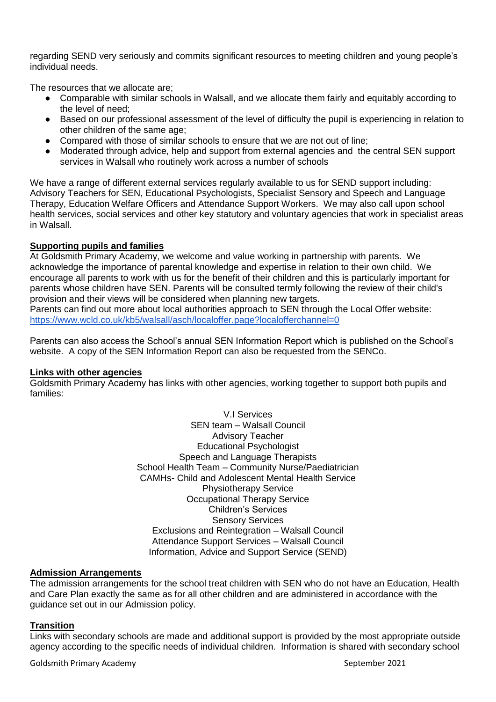regarding SEND very seriously and commits significant resources to meeting children and young people's individual needs.

The resources that we allocate are;

- Comparable with similar schools in Walsall, and we allocate them fairly and equitably according to the level of need;
- Based on our professional assessment of the level of difficulty the pupil is experiencing in relation to other children of the same age;
- Compared with those of similar schools to ensure that we are not out of line;
- Moderated through advice, help and support from external agencies and the central SEN support services in Walsall who routinely work across a number of schools

We have a range of different external services regularly available to us for SEND support including: Advisory Teachers for SEN, Educational Psychologists, Specialist Sensory and Speech and Language Therapy, Education Welfare Officers and Attendance Support Workers. We may also call upon school health services, social services and other key statutory and voluntary agencies that work in specialist areas in Walsall.

# **Supporting pupils and families**

At Goldsmith Primary Academy, we welcome and value working in partnership with parents. We acknowledge the importance of parental knowledge and expertise in relation to their own child. We encourage all parents to work with us for the benefit of their children and this is particularly important for parents whose children have SEN. Parents will be consulted termly following the review of their child's provision and their views will be considered when planning new targets.

Parents can find out more about local authorities approach to SEN through the Local Offer website: <https://www.wcld.co.uk/kb5/walsall/asch/localoffer.page?localofferchannel=0>

Parents can also access the School's annual SEN Information Report which is published on the School's website. A copy of the SEN Information Report can also be requested from the SENCo.

# **Links with other agencies**

Goldsmith Primary Academy has links with other agencies, working together to support both pupils and families:

> V.I Services SEN team – Walsall Council Advisory Teacher Educational Psychologist Speech and Language Therapists School Health Team – Community Nurse/Paediatrician CAMHs- Child and Adolescent Mental Health Service Physiotherapy Service Occupational Therapy Service Children's Services Sensory Services Exclusions and Reintegration – Walsall Council Attendance Support Services – Walsall Council Information, Advice and Support Service (SEND)

# **Admission Arrangements**

The admission arrangements for the school treat children with SEN who do not have an Education, Health and Care Plan exactly the same as for all other children and are administered in accordance with the guidance set out in our Admission policy.

# **Transition**

Links with secondary schools are made and additional support is provided by the most appropriate outside agency according to the specific needs of individual children. Information is shared with secondary school

Goldsmith Primary Academy September 2021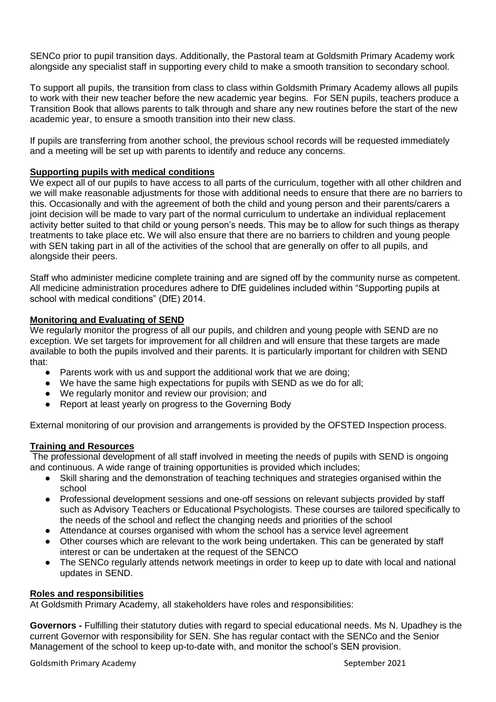SENCo prior to pupil transition days. Additionally, the Pastoral team at Goldsmith Primary Academy work alongside any specialist staff in supporting every child to make a smooth transition to secondary school.

To support all pupils, the transition from class to class within Goldsmith Primary Academy allows all pupils to work with their new teacher before the new academic year begins. For SEN pupils, teachers produce a Transition Book that allows parents to talk through and share any new routines before the start of the new academic year, to ensure a smooth transition into their new class.

If pupils are transferring from another school, the previous school records will be requested immediately and a meeting will be set up with parents to identify and reduce any concerns.

#### **Supporting pupils with medical conditions**

We expect all of our pupils to have access to all parts of the curriculum, together with all other children and we will make reasonable adjustments for those with additional needs to ensure that there are no barriers to this. Occasionally and with the agreement of both the child and young person and their parents/carers a joint decision will be made to vary part of the normal curriculum to undertake an individual replacement activity better suited to that child or young person's needs. This may be to allow for such things as therapy treatments to take place etc. We will also ensure that there are no barriers to children and young people with SEN taking part in all of the activities of the school that are generally on offer to all pupils, and alongside their peers.

Staff who administer medicine complete training and are signed off by the community nurse as competent. All medicine administration procedures adhere to DfE guidelines included within "Supporting pupils at school with medical conditions" (DfE) 2014.

# **Monitoring and Evaluating of SEND**

We regularly monitor the progress of all our pupils, and children and young people with SEND are no exception. We set targets for improvement for all children and will ensure that these targets are made available to both the pupils involved and their parents. It is particularly important for children with SEND that:

- Parents work with us and support the additional work that we are doing;
- We have the same high expectations for pupils with SEND as we do for all;
- We regularly monitor and review our provision; and
- Report at least yearly on progress to the Governing Body

External monitoring of our provision and arrangements is provided by the OFSTED Inspection process.

# **Training and Resources**

The professional development of all staff involved in meeting the needs of pupils with SEND is ongoing and continuous. A wide range of training opportunities is provided which includes;

- Skill sharing and the demonstration of teaching techniques and strategies organised within the school
- Professional development sessions and one-off sessions on relevant subjects provided by staff such as Advisory Teachers or Educational Psychologists. These courses are tailored specifically to the needs of the school and reflect the changing needs and priorities of the school
- Attendance at courses organised with whom the school has a service level agreement
- Other courses which are relevant to the work being undertaken. This can be generated by staff interest or can be undertaken at the request of the SENCO
- The SENCo regularly attends network meetings in order to keep up to date with local and national updates in SEND.

#### **Roles and responsibilities**

At Goldsmith Primary Academy, all stakeholders have roles and responsibilities:

**Governors -** Fulfilling their statutory duties with regard to special educational needs. Ms N. Upadhey is the current Governor with responsibility for SEN. She has regular contact with the SENCo and the Senior Management of the school to keep up-to-date with, and monitor the school's SEN provision.

Goldsmith Primary Academy September 2021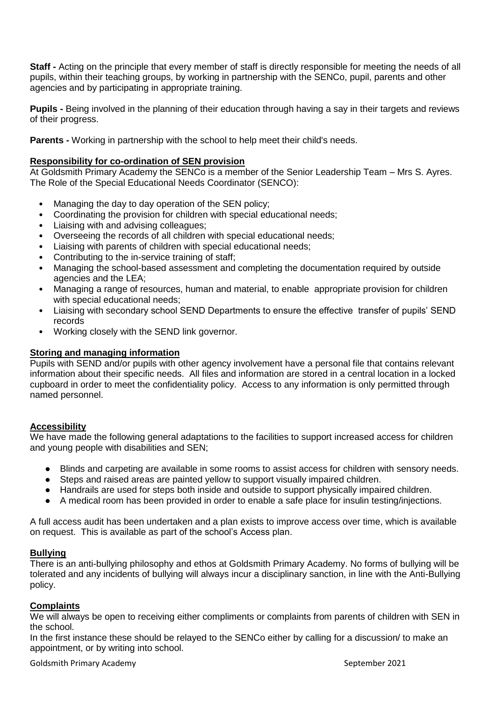**Staff -** Acting on the principle that every member of staff is directly responsible for meeting the needs of all pupils, within their teaching groups, by working in partnership with the SENCo, pupil, parents and other agencies and by participating in appropriate training.

**Pupils -** Being involved in the planning of their education through having a say in their targets and reviews of their progress.

**Parents -** Working in partnership with the school to help meet their child's needs.

# **Responsibility for co-ordination of SEN provision**

At Goldsmith Primary Academy the SENCo is a member of the Senior Leadership Team – Mrs S. Ayres. The Role of the Special Educational Needs Coordinator (SENCO):

- Managing the day to day operation of the SEN policy;
- Coordinating the provision for children with special educational needs;
- Liaising with and advising colleagues;
- Overseeing the records of all children with special educational needs;
- Liaising with parents of children with special educational needs;
- Contributing to the in-service training of staff;
- Managing the school-based assessment and completing the documentation required by outside agencies and the LEA;
- Managing a range of resources, human and material, to enable appropriate provision for children with special educational needs;
- Liaising with secondary school SEND Departments to ensure the effective transfer of pupils' SEND records
- Working closely with the SEND link governor.

# **Storing and managing information**

Pupils with SEND and/or pupils with other agency involvement have a personal file that contains relevant information about their specific needs. All files and information are stored in a central location in a locked cupboard in order to meet the confidentiality policy. Access to any information is only permitted through named personnel.

# **Accessibility**

We have made the following general adaptations to the facilities to support increased access for children and young people with disabilities and SEN;

- Blinds and carpeting are available in some rooms to assist access for children with sensory needs.
- Steps and raised areas are painted yellow to support visually impaired children.
- Handrails are used for steps both inside and outside to support physically impaired children.
- A medical room has been provided in order to enable a safe place for insulin testing/injections.

A full access audit has been undertaken and a plan exists to improve access over time, which is available on request. This is available as part of the school's Access plan.

# **Bullying**

There is an anti-bullying philosophy and ethos at Goldsmith Primary Academy. No forms of bullying will be tolerated and any incidents of bullying will always incur a disciplinary sanction, in line with the Anti-Bullying policy.

# **Complaints**

We will always be open to receiving either compliments or complaints from parents of children with SEN in the school.

In the first instance these should be relayed to the SENCo either by calling for a discussion/ to make an appointment, or by writing into school.

Goldsmith Primary Academy September 2021